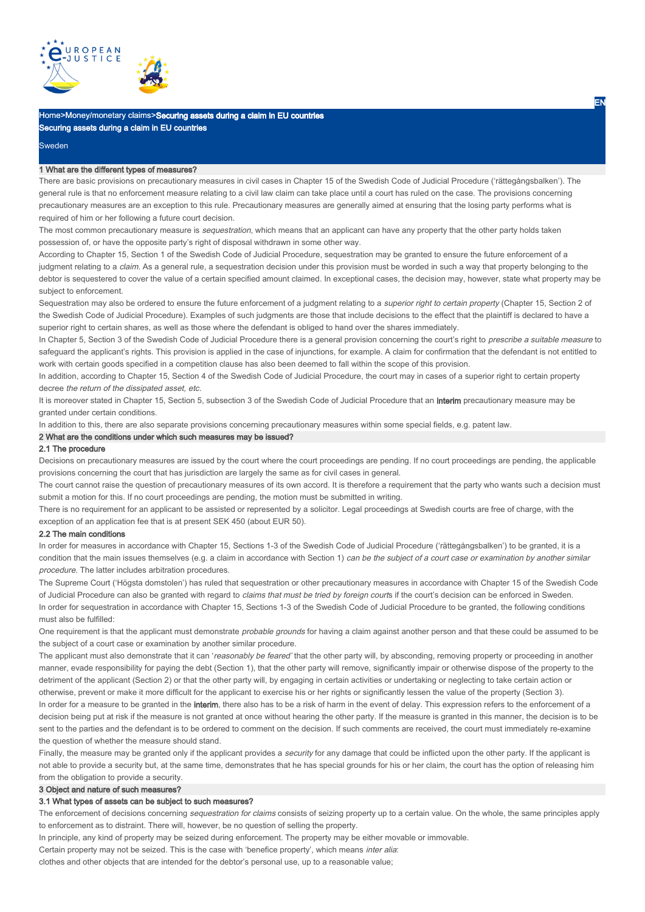

# Home>Money/monetary claims>Securing assets during a claim in EU countries Securing assets during a claim in EU countries

Sweden

### 1 What are the different types of measures?

There are basic provisions on precautionary measures in civil cases in Chapter 15 of the Swedish Code of Judicial Procedure ('rättegångsbalken'). The general rule is that no enforcement measure relating to a civil law claim can take place until a court has ruled on the case. The provisions concerning precautionary measures are an exception to this rule. Precautionary measures are generally aimed at ensuring that the losing party performs what is required of him or her following a future court decision.

The most common precautionary measure is sequestration, which means that an applicant can have any property that the other party holds taken possession of, or have the opposite party's right of disposal withdrawn in some other way.

According to Chapter 15, Section 1 of the Swedish Code of Judicial Procedure, sequestration may be granted to ensure the future enforcement of a judgment relating to a claim. As a general rule, a sequestration decision under this provision must be worded in such a way that property belonging to the debtor is sequestered to cover the value of a certain specified amount claimed. In exceptional cases, the decision may, however, state what property may be subject to enforcement.

Sequestration may also be ordered to ensure the future enforcement of a judgment relating to a superior right to certain property (Chapter 15, Section 2 of the Swedish Code of Judicial Procedure). Examples of such judgments are those that include decisions to the effect that the plaintiff is declared to have a superior right to certain shares, as well as those where the defendant is obliged to hand over the shares immediately.

In Chapter 5, Section 3 of the Swedish Code of Judicial Procedure there is a general provision concerning the court's right to prescribe a suitable measure to safeguard the applicant's rights. This provision is applied in the case of injunctions, for example. A claim for confirmation that the defendant is not entitled to work with certain goods specified in a competition clause has also been deemed to fall within the scope of this provision.

In addition, according to Chapter 15, Section 4 of the Swedish Code of Judicial Procedure, the court may in cases of a superior right to certain property decree the return of the dissipated asset, etc.

It is moreover stated in Chapter 15, Section 5, subsection 3 of the Swedish Code of Judicial Procedure that an interim precautionary measure may be granted under certain conditions.

In addition to this, there are also separate provisions concerning precautionary measures within some special fields, e.g. patent law.

## 2 What are the conditions under which such measures may be issued?

### 2.1 The procedure

Decisions on precautionary measures are issued by the court where the court proceedings are pending. If no court proceedings are pending, the applicable provisions concerning the court that has jurisdiction are largely the same as for civil cases in general.

The court cannot raise the question of precautionary measures of its own accord. It is therefore a requirement that the party who wants such a decision must submit a motion for this. If no court proceedings are pending, the motion must be submitted in writing.

There is no requirement for an applicant to be assisted or represented by a solicitor. Legal proceedings at Swedish courts are free of charge, with the exception of an application fee that is at present SEK 450 (about EUR 50).

#### 2.2 The main conditions

In order for measures in accordance with Chapter 15, Sections 1-3 of the Swedish Code of Judicial Procedure ('rättegångsbalken') to be granted, it is a condition that the main issues themselves (e.g. a claim in accordance with Section 1) can be the subject of a court case or examination by another similar procedure. The latter includes arbitration procedures.

The Supreme Court ('Högsta domstolen') has ruled that sequestration or other precautionary measures in accordance with Chapter 15 of the Swedish Code of Judicial Procedure can also be granted with regard to claims that must be tried by foreign courts if the court's decision can be enforced in Sweden. In order for sequestration in accordance with Chapter 15, Sections 1-3 of the Swedish Code of Judicial Procedure to be granted, the following conditions must also be fulfilled:

One requirement is that the applicant must demonstrate probable grounds for having a claim against another person and that these could be assumed to be the subject of a court case or examination by another similar procedure.

The applicant must also demonstrate that it can 'reasonably be feared' that the other party will, by absconding, removing property or proceeding in another manner, evade responsibility for paying the debt (Section 1), that the other party will remove, significantly impair or otherwise dispose of the property to the detriment of the applicant (Section 2) or that the other party will, by engaging in certain activities or undertaking or neglecting to take certain action or otherwise, prevent or make it more difficult for the applicant to exercise his or her rights or significantly lessen the value of the property (Section 3). In order for a measure to be granted in the interim, there also has to be a risk of harm in the event of delay. This expression refers to the enforcement of a

decision being put at risk if the measure is not granted at once without hearing the other party. If the measure is granted in this manner, the decision is to be sent to the parties and the defendant is to be ordered to comment on the decision. If such comments are received, the court must immediately re-examine the question of whether the measure should stand.

Finally, the measure may be granted only if the applicant provides a *security* for any damage that could be inflicted upon the other party. If the applicant is not able to provide a security but, at the same time, demonstrates that he has special grounds for his or her claim, the court has the option of releasing him from the obligation to provide a security.

#### 3 Object and nature of such measures?

### 3.1 What types of assets can be subject to such measures?

The enforcement of decisions concerning sequestration for claims consists of seizing property up to a certain value. On the whole, the same principles apply to enforcement as to distraint. There will, however, be no question of selling the property.

In principle, any kind of property may be seized during enforcement. The property may be either movable or immovable.

Certain property may not be seized. This is the case with 'benefice property', which means inter alia:

clothes and other objects that are intended for the debtor's personal use, up to a reasonable value;